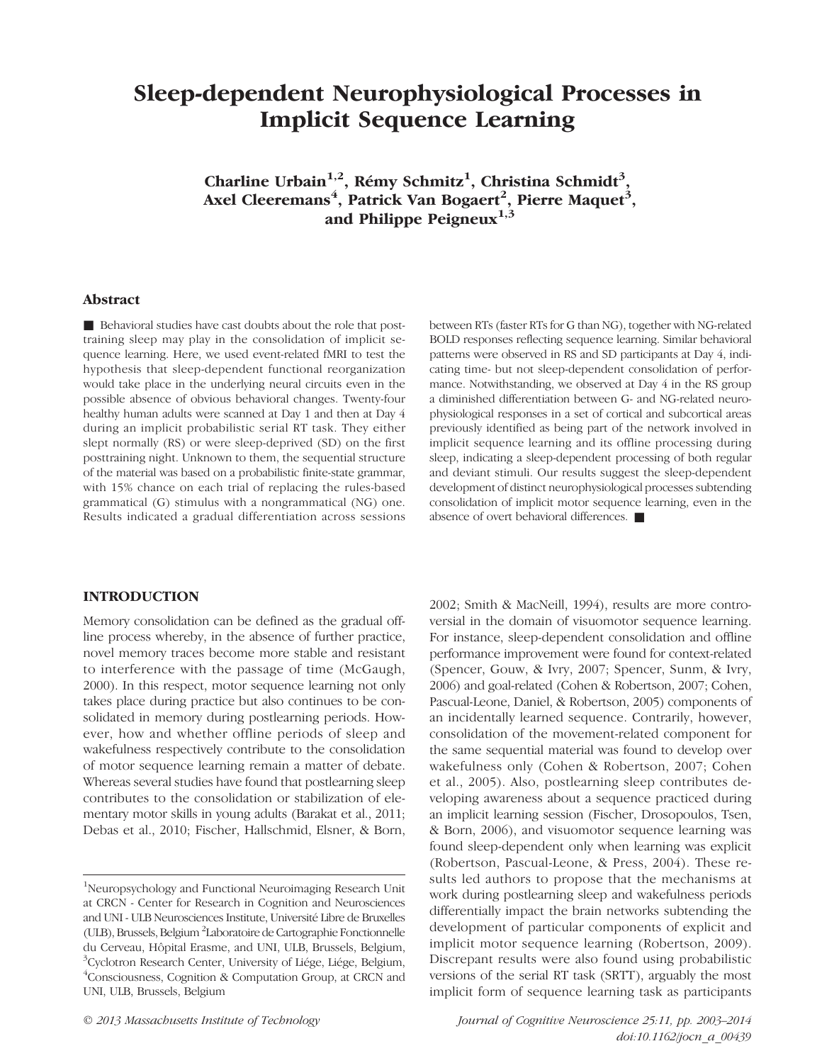# Sleep-dependent Neurophysiological Processes in Implicit Sequence Learning

Charline Urbain<sup>1,2</sup>, Rémy Schmitz<sup>1</sup>, Christina Schmidt<sup>3</sup>, Axel Cleeremans<sup>4</sup>, Patrick Van Bogaert<sup>2</sup>, Pierre Maquet<sup>3</sup>, and Philippe Peigneux $^{1,3}$ 

#### Abstract

■ Behavioral studies have cast doubts about the role that posttraining sleep may play in the consolidation of implicit sequence learning. Here, we used event-related fMRI to test the hypothesis that sleep-dependent functional reorganization would take place in the underlying neural circuits even in the possible absence of obvious behavioral changes. Twenty-four healthy human adults were scanned at Day 1 and then at Day 4 during an implicit probabilistic serial RT task. They either slept normally (RS) or were sleep-deprived (SD) on the first posttraining night. Unknown to them, the sequential structure of the material was based on a probabilistic finite-state grammar, with 15% chance on each trial of replacing the rules-based grammatical (G) stimulus with a nongrammatical (NG) one. Results indicated a gradual differentiation across sessions

INTRODUCTION

Memory consolidation can be defined as the gradual offline process whereby, in the absence of further practice, novel memory traces become more stable and resistant to interference with the passage of time (McGaugh, 2000). In this respect, motor sequence learning not only takes place during practice but also continues to be consolidated in memory during postlearning periods. However, how and whether offline periods of sleep and wakefulness respectively contribute to the consolidation of motor sequence learning remain a matter of debate. Whereas several studies have found that postlearning sleep contributes to the consolidation or stabilization of elementary motor skills in young adults (Barakat et al., 2011; Debas et al., 2010; Fischer, Hallschmid, Elsner, & Born,

between RTs (faster RTs for G than NG), together with NG-related BOLD responses reflecting sequence learning. Similar behavioral patterns were observed in RS and SD participants at Day 4, indicating time- but not sleep-dependent consolidation of performance. Notwithstanding, we observed at Day 4 in the RS group a diminished differentiation between G- and NG-related neurophysiological responses in a set of cortical and subcortical areas previously identified as being part of the network involved in implicit sequence learning and its offline processing during sleep, indicating a sleep-dependent processing of both regular and deviant stimuli. Our results suggest the sleep-dependent development of distinct neurophysiological processes subtending consolidation of implicit motor sequence learning, even in the absence of overt behavioral differences. ■

2002; Smith & MacNeill, 1994), results are more controversial in the domain of visuomotor sequence learning. For instance, sleep-dependent consolidation and offline performance improvement were found for context-related (Spencer, Gouw, & Ivry, 2007; Spencer, Sunm, & Ivry, 2006) and goal-related (Cohen & Robertson, 2007; Cohen, Pascual-Leone, Daniel, & Robertson, 2005) components of an incidentally learned sequence. Contrarily, however, consolidation of the movement-related component for the same sequential material was found to develop over wakefulness only (Cohen & Robertson, 2007; Cohen et al., 2005). Also, postlearning sleep contributes developing awareness about a sequence practiced during an implicit learning session (Fischer, Drosopoulos, Tsen, & Born, 2006), and visuomotor sequence learning was found sleep-dependent only when learning was explicit (Robertson, Pascual-Leone, & Press, 2004). These results led authors to propose that the mechanisms at work during postlearning sleep and wakefulness periods differentially impact the brain networks subtending the development of particular components of explicit and implicit motor sequence learning (Robertson, 2009). Discrepant results were also found using probabilistic versions of the serial RT task (SRTT), arguably the most implicit form of sequence learning task as participants

<sup>&</sup>lt;sup>1</sup>Neuropsychology and Functional Neuroimaging Research Unit at CRCN - Center for Research in Cognition and Neurosciences and UNI - ULB Neurosciences Institute, Université Libre de Bruxelles (ULB), Brussels, Belgium <sup>2</sup> Laboratoire de Cartographie Fonctionnelle du Cerveau, Hôpital Erasme, and UNI, ULB, Brussels, Belgium, 3 Cyclotron Research Center, University of Liége, Liége, Belgium, 4 Consciousness, Cognition & Computation Group, at CRCN and UNI, ULB, Brussels, Belgium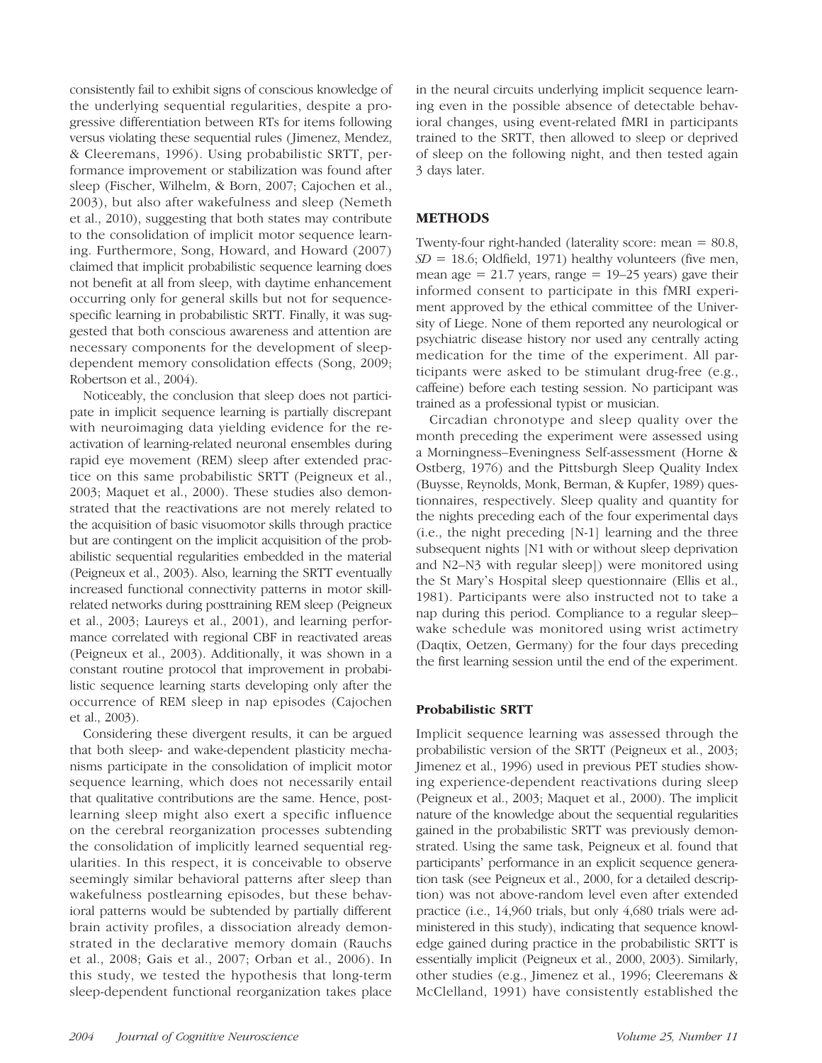consistently fail to exhibit signs of conscious knowledge of the underlying sequential regularities, despite a progressive differentiation between RTs for items following versus violating these sequential rules ( Jimenez, Mendez, & Cleeremans, 1996). Using probabilistic SRTT, performance improvement or stabilization was found after sleep (Fischer, Wilhelm, & Born, 2007; Cajochen et al., 2003), but also after wakefulness and sleep (Nemeth et al., 2010), suggesting that both states may contribute to the consolidation of implicit motor sequence learning. Furthermore, Song, Howard, and Howard (2007) claimed that implicit probabilistic sequence learning does not benefit at all from sleep, with daytime enhancement occurring only for general skills but not for sequencespecific learning in probabilistic SRTT. Finally, it was suggested that both conscious awareness and attention are necessary components for the development of sleepdependent memory consolidation effects (Song, 2009; Robertson et al., 2004).

Noticeably, the conclusion that sleep does not participate in implicit sequence learning is partially discrepant with neuroimaging data yielding evidence for the reactivation of learning-related neuronal ensembles during rapid eye movement (REM) sleep after extended practice on this same probabilistic SRTT (Peigneux et al., 2003; Maquet et al., 2000). These studies also demonstrated that the reactivations are not merely related to the acquisition of basic visuomotor skills through practice but are contingent on the implicit acquisition of the probabilistic sequential regularities embedded in the material (Peigneux et al., 2003). Also, learning the SRTT eventually increased functional connectivity patterns in motor skillrelated networks during posttraining REM sleep (Peigneux et al., 2003; Laureys et al., 2001), and learning performance correlated with regional CBF in reactivated areas (Peigneux et al., 2003). Additionally, it was shown in a constant routine protocol that improvement in probabilistic sequence learning starts developing only after the occurrence of REM sleep in nap episodes (Cajochen et al., 2003).

Considering these divergent results, it can be argued that both sleep- and wake-dependent plasticity mechanisms participate in the consolidation of implicit motor sequence learning, which does not necessarily entail that qualitative contributions are the same. Hence, postlearning sleep might also exert a specific influence on the cerebral reorganization processes subtending the consolidation of implicitly learned sequential regularities. In this respect, it is conceivable to observe seemingly similar behavioral patterns after sleep than wakefulness postlearning episodes, but these behavioral patterns would be subtended by partially different brain activity profiles, a dissociation already demonstrated in the declarative memory domain (Rauchs et al., 2008; Gais et al., 2007; Orban et al., 2006). In this study, we tested the hypothesis that long-term sleep-dependent functional reorganization takes place

in the neural circuits underlying implicit sequence learning even in the possible absence of detectable behavioral changes, using event-related fMRI in participants trained to the SRTT, then allowed to sleep or deprived of sleep on the following night, and then tested again 3 days later.

# METHODS

Twenty-four right-handed (laterality score: mean = 80.8,  $SD = 18.6$ ; Oldfield, 1971) healthy volunteers (five men, mean age  $= 21.7$  years, range  $= 19-25$  years) gave their informed consent to participate in this fMRI experiment approved by the ethical committee of the University of Liege. None of them reported any neurological or psychiatric disease history nor used any centrally acting medication for the time of the experiment. All participants were asked to be stimulant drug-free (e.g., caffeine) before each testing session. No participant was trained as a professional typist or musician.

Circadian chronotype and sleep quality over the month preceding the experiment were assessed using a Morningness–Eveningness Self-assessment (Horne & Ostberg, 1976) and the Pittsburgh Sleep Quality Index (Buysse, Reynolds, Monk, Berman, & Kupfer, 1989) questionnaires, respectively. Sleep quality and quantity for the nights preceding each of the four experimental days (i.e., the night preceding [N-1] learning and the three subsequent nights [N1 with or without sleep deprivation and N2–N3 with regular sleep]) were monitored using the St Mary's Hospital sleep questionnaire (Ellis et al., 1981). Participants were also instructed not to take a nap during this period. Compliance to a regular sleep– wake schedule was monitored using wrist actimetry (Daqtix, Oetzen, Germany) for the four days preceding the first learning session until the end of the experiment.

# Probabilistic SRTT

Implicit sequence learning was assessed through the probabilistic version of the SRTT (Peigneux et al., 2003; Jimenez et al., 1996) used in previous PET studies showing experience-dependent reactivations during sleep (Peigneux et al., 2003; Maquet et al., 2000). The implicit nature of the knowledge about the sequential regularities gained in the probabilistic SRTT was previously demonstrated. Using the same task, Peigneux et al. found that participants' performance in an explicit sequence generation task (see Peigneux et al., 2000, for a detailed description) was not above-random level even after extended practice (i.e., 14,960 trials, but only 4,680 trials were administered in this study), indicating that sequence knowledge gained during practice in the probabilistic SRTT is essentially implicit (Peigneux et al., 2000, 2003). Similarly, other studies (e.g., Jimenez et al., 1996; Cleeremans & McClelland, 1991) have consistently established the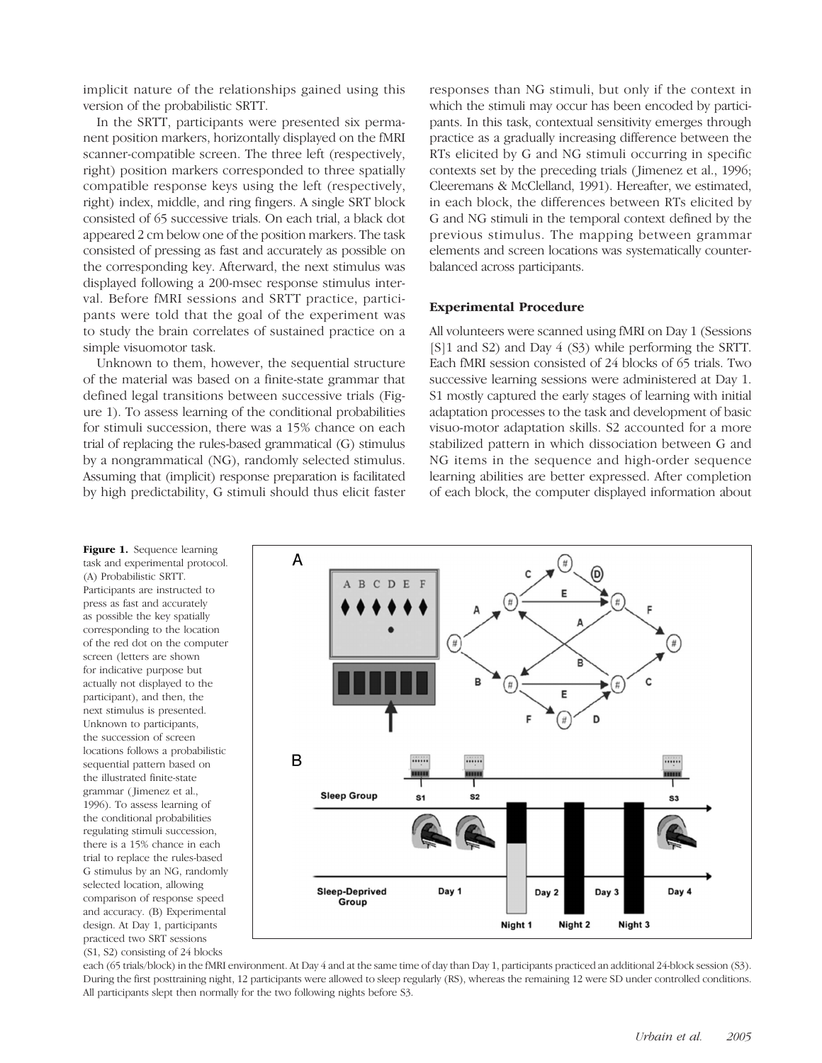implicit nature of the relationships gained using this version of the probabilistic SRTT.

In the SRTT, participants were presented six permanent position markers, horizontally displayed on the fMRI scanner-compatible screen. The three left (respectively, right) position markers corresponded to three spatially compatible response keys using the left (respectively, right) index, middle, and ring fingers. A single SRT block consisted of 65 successive trials. On each trial, a black dot appeared 2 cm below one of the position markers. The task consisted of pressing as fast and accurately as possible on the corresponding key. Afterward, the next stimulus was displayed following a 200-msec response stimulus interval. Before fMRI sessions and SRTT practice, participants were told that the goal of the experiment was to study the brain correlates of sustained practice on a simple visuomotor task.

Unknown to them, however, the sequential structure of the material was based on a finite-state grammar that defined legal transitions between successive trials (Figure 1). To assess learning of the conditional probabilities for stimuli succession, there was a 15% chance on each trial of replacing the rules-based grammatical (G) stimulus by a nongrammatical (NG), randomly selected stimulus. Assuming that (implicit) response preparation is facilitated by high predictability, G stimuli should thus elicit faster responses than NG stimuli, but only if the context in which the stimuli may occur has been encoded by participants. In this task, contextual sensitivity emerges through practice as a gradually increasing difference between the RTs elicited by G and NG stimuli occurring in specific contexts set by the preceding trials (Jimenez et al., 1996; Cleeremans & McClelland, 1991). Hereafter, we estimated, in each block, the differences between RTs elicited by G and NG stimuli in the temporal context defined by the previous stimulus. The mapping between grammar elements and screen locations was systematically counterbalanced across participants.

#### Experimental Procedure

All volunteers were scanned using fMRI on Day 1 (Sessions [S]1 and S2) and Day 4 (S3) while performing the SRTT. Each fMRI session consisted of 24 blocks of 65 trials. Two successive learning sessions were administered at Day 1. S1 mostly captured the early stages of learning with initial adaptation processes to the task and development of basic visuo-motor adaptation skills. S2 accounted for a more stabilized pattern in which dissociation between G and NG items in the sequence and high-order sequence learning abilities are better expressed. After completion of each block, the computer displayed information about

Figure 1. Sequence learning task and experimental protocol. (A) Probabilistic SRTT. Participants are instructed to press as fast and accurately as possible the key spatially corresponding to the location of the red dot on the computer screen (letters are shown for indicative purpose but actually not displayed to the participant), and then, the next stimulus is presented. Unknown to participants, the succession of screen locations follows a probabilistic sequential pattern based on the illustrated finite-state grammar ( Jimenez et al., 1996). To assess learning of the conditional probabilities regulating stimuli succession, there is a 15% chance in each trial to replace the rules-based G stimulus by an NG, randomly selected location, allowing comparison of response speed and accuracy. (B) Experimental design. At Day 1, participants practiced two SRT sessions (S1, S2) consisting of 24 blocks



each (65 trials/block) in the fMRI environment. At Day 4 and at the same time of day than Day 1, participants practiced an additional 24-block session (S3). During the first posttraining night, 12 participants were allowed to sleep regularly (RS), whereas the remaining 12 were SD under controlled conditions. All participants slept then normally for the two following nights before S3.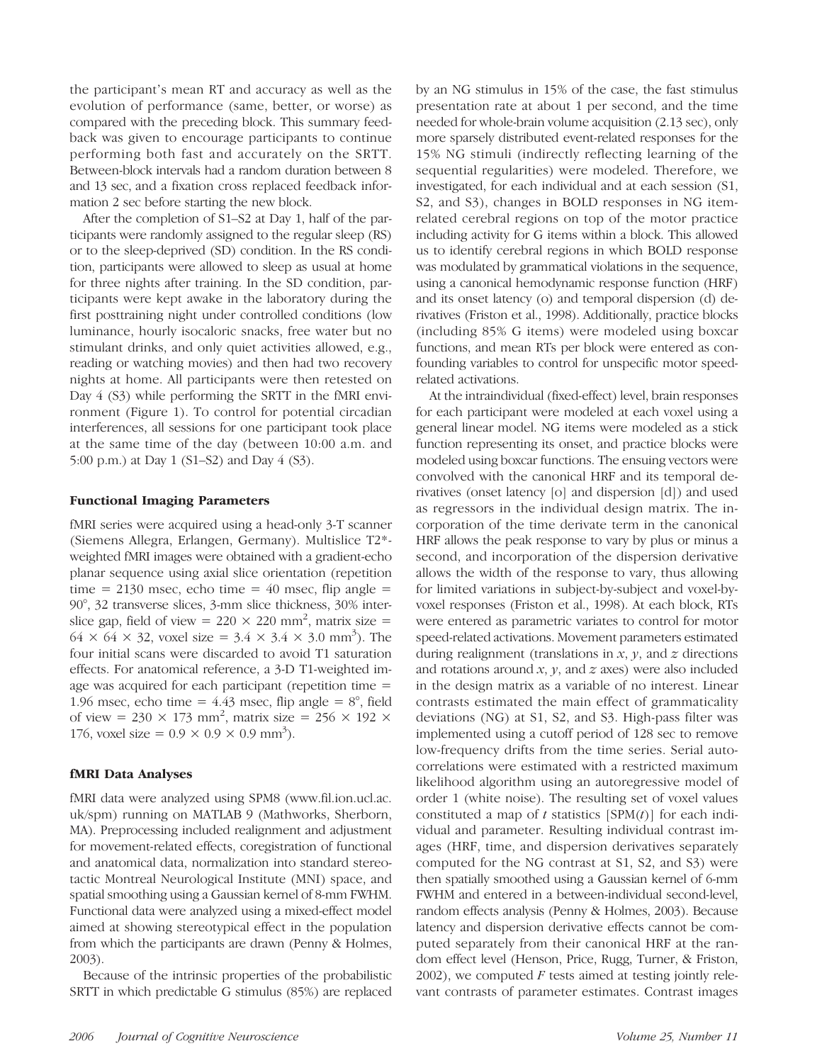the participant's mean RT and accuracy as well as the evolution of performance (same, better, or worse) as compared with the preceding block. This summary feedback was given to encourage participants to continue performing both fast and accurately on the SRTT. Between-block intervals had a random duration between 8 and 13 sec, and a fixation cross replaced feedback information 2 sec before starting the new block.

After the completion of S1–S2 at Day 1, half of the participants were randomly assigned to the regular sleep (RS) or to the sleep-deprived (SD) condition. In the RS condition, participants were allowed to sleep as usual at home for three nights after training. In the SD condition, participants were kept awake in the laboratory during the first posttraining night under controlled conditions (low luminance, hourly isocaloric snacks, free water but no stimulant drinks, and only quiet activities allowed, e.g., reading or watching movies) and then had two recovery nights at home. All participants were then retested on Day 4 (S3) while performing the SRTT in the fMRI environment (Figure 1). To control for potential circadian interferences, all sessions for one participant took place at the same time of the day (between 10:00 a.m. and 5:00 p.m.) at Day 1 (S1–S2) and Day 4 (S3).

## Functional Imaging Parameters

fMRI series were acquired using a head-only 3-T scanner (Siemens Allegra, Erlangen, Germany). Multislice T2\* weighted fMRI images were obtained with a gradient-echo planar sequence using axial slice orientation (repetition time = 2130 msec, echo time =  $40$  msec, flip angle = 90°, 32 transverse slices, 3-mm slice thickness, 30% interslice gap, field of view =  $220 \times 220$  mm<sup>2</sup>, matrix size =  $64 \times 64 \times 32$ , voxel size =  $3.4 \times 3.4 \times 3.0$  mm<sup>3</sup>). The four initial scans were discarded to avoid T1 saturation effects. For anatomical reference, a 3-D T1-weighted image was acquired for each participant (repetition time = 1.96 msec, echo time  $= 4.43$  msec, flip angle  $= 8^\circ$ , field of view = 230  $\times$  173 mm<sup>2</sup>, matrix size = 256  $\times$  192  $\times$ 176, voxel size =  $0.9 \times 0.9 \times 0.9$  mm<sup>3</sup>).

## fMRI Data Analyses

fMRI data were analyzed using SPM8 (www.fil.ion.ucl.ac. uk/spm) running on MATLAB 9 (Mathworks, Sherborn, MA). Preprocessing included realignment and adjustment for movement-related effects, coregistration of functional and anatomical data, normalization into standard stereotactic Montreal Neurological Institute (MNI) space, and spatial smoothing using a Gaussian kernel of 8-mm FWHM. Functional data were analyzed using a mixed-effect model aimed at showing stereotypical effect in the population from which the participants are drawn (Penny & Holmes, 2003).

Because of the intrinsic properties of the probabilistic SRTT in which predictable G stimulus (85%) are replaced

by an NG stimulus in 15% of the case, the fast stimulus presentation rate at about 1 per second, and the time needed for whole-brain volume acquisition (2.13 sec), only more sparsely distributed event-related responses for the 15% NG stimuli (indirectly reflecting learning of the sequential regularities) were modeled. Therefore, we investigated, for each individual and at each session (S1, S2, and S3), changes in BOLD responses in NG itemrelated cerebral regions on top of the motor practice including activity for G items within a block. This allowed us to identify cerebral regions in which BOLD response was modulated by grammatical violations in the sequence, using a canonical hemodynamic response function (HRF) and its onset latency (o) and temporal dispersion (d) derivatives (Friston et al., 1998). Additionally, practice blocks (including 85% G items) were modeled using boxcar functions, and mean RTs per block were entered as confounding variables to control for unspecific motor speedrelated activations.

At the intraindividual (fixed-effect) level, brain responses for each participant were modeled at each voxel using a general linear model. NG items were modeled as a stick function representing its onset, and practice blocks were modeled using boxcar functions. The ensuing vectors were convolved with the canonical HRF and its temporal derivatives (onset latency [o] and dispersion [d]) and used as regressors in the individual design matrix. The incorporation of the time derivate term in the canonical HRF allows the peak response to vary by plus or minus a second, and incorporation of the dispersion derivative allows the width of the response to vary, thus allowing for limited variations in subject-by-subject and voxel-byvoxel responses (Friston et al., 1998). At each block, RTs were entered as parametric variates to control for motor speed-related activations. Movement parameters estimated during realignment (translations in  $x$ ,  $y$ , and  $z$  directions and rotations around x, y, and z axes) were also included in the design matrix as a variable of no interest. Linear contrasts estimated the main effect of grammaticality deviations (NG) at S1, S2, and S3. High-pass filter was implemented using a cutoff period of 128 sec to remove low-frequency drifts from the time series. Serial autocorrelations were estimated with a restricted maximum likelihood algorithm using an autoregressive model of order 1 (white noise). The resulting set of voxel values constituted a map of t statistics  $[SPM(t)]$  for each individual and parameter. Resulting individual contrast images (HRF, time, and dispersion derivatives separately computed for the NG contrast at S1, S2, and S3) were then spatially smoothed using a Gaussian kernel of 6-mm FWHM and entered in a between-individual second-level, random effects analysis (Penny & Holmes, 2003). Because latency and dispersion derivative effects cannot be computed separately from their canonical HRF at the random effect level (Henson, Price, Rugg, Turner, & Friston,  $2002$ ), we computed  $F$  tests aimed at testing jointly relevant contrasts of parameter estimates. Contrast images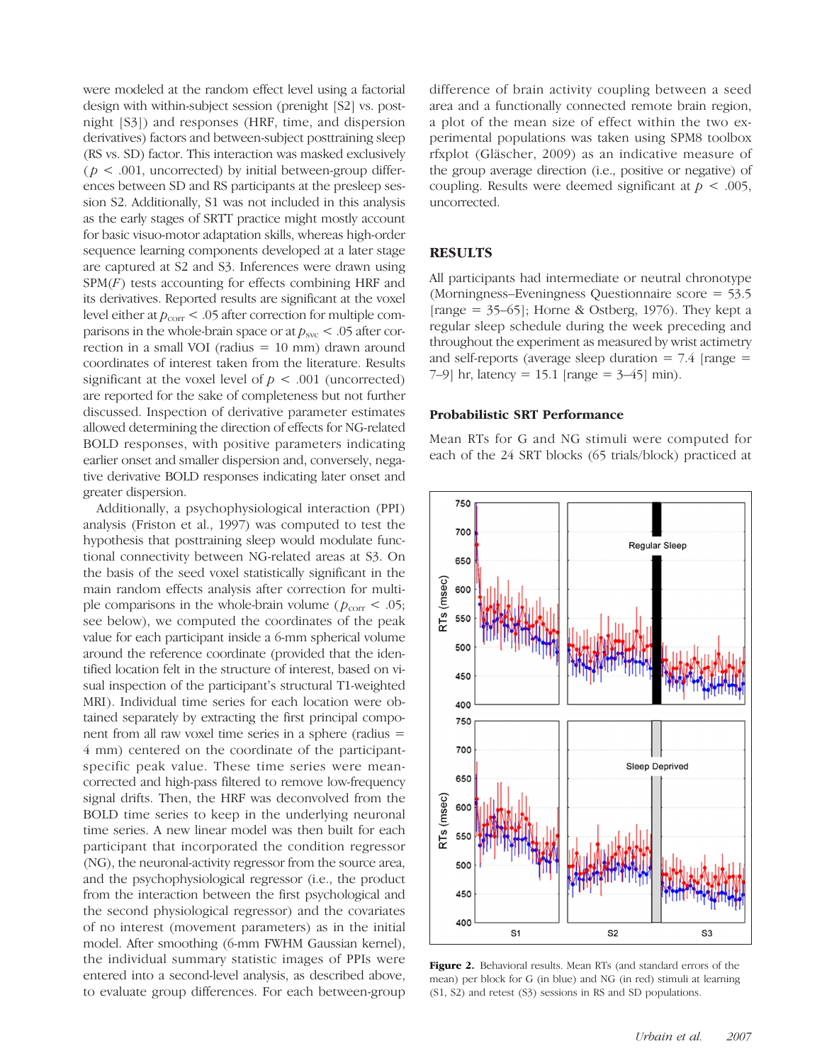were modeled at the random effect level using a factorial design with within-subject session (prenight [S2] vs. postnight [S3]) and responses (HRF, time, and dispersion derivatives) factors and between-subject posttraining sleep (RS vs. SD) factor. This interaction was masked exclusively ( $p < .001$ , uncorrected) by initial between-group differences between SD and RS participants at the presleep session S2. Additionally, S1 was not included in this analysis as the early stages of SRTT practice might mostly account for basic visuo-motor adaptation skills, whereas high-order sequence learning components developed at a later stage are captured at S2 and S3. Inferences were drawn using  $SPM(F)$  tests accounting for effects combining HRF and its derivatives. Reported results are significant at the voxel level either at  $p_{\text{corr}}$  < .05 after correction for multiple comparisons in the whole-brain space or at  $p_{\rm{svc}} < .05$  after correction in a small VOI (radius = 10 mm) drawn around coordinates of interest taken from the literature. Results significant at the voxel level of  $p < .001$  (uncorrected) are reported for the sake of completeness but not further discussed. Inspection of derivative parameter estimates allowed determining the direction of effects for NG-related BOLD responses, with positive parameters indicating earlier onset and smaller dispersion and, conversely, negative derivative BOLD responses indicating later onset and greater dispersion.

Additionally, a psychophysiological interaction (PPI) analysis (Friston et al., 1997) was computed to test the hypothesis that posttraining sleep would modulate functional connectivity between NG-related areas at S3. On the basis of the seed voxel statistically significant in the main random effects analysis after correction for multiple comparisons in the whole-brain volume ( $p_{\text{corr}}$  < .05; see below), we computed the coordinates of the peak value for each participant inside a 6-mm spherical volume around the reference coordinate (provided that the identified location felt in the structure of interest, based on visual inspection of the participant's structural T1-weighted MRI). Individual time series for each location were obtained separately by extracting the first principal component from all raw voxel time series in a sphere (radius = 4 mm) centered on the coordinate of the participantspecific peak value. These time series were meancorrected and high-pass filtered to remove low-frequency signal drifts. Then, the HRF was deconvolved from the BOLD time series to keep in the underlying neuronal time series. A new linear model was then built for each participant that incorporated the condition regressor (NG), the neuronal-activity regressor from the source area, and the psychophysiological regressor (i.e., the product from the interaction between the first psychological and the second physiological regressor) and the covariates of no interest (movement parameters) as in the initial model. After smoothing (6-mm FWHM Gaussian kernel), the individual summary statistic images of PPIs were entered into a second-level analysis, as described above, to evaluate group differences. For each between-group

difference of brain activity coupling between a seed area and a functionally connected remote brain region, a plot of the mean size of effect within the two experimental populations was taken using SPM8 toolbox rfxplot (Gläscher, 2009) as an indicative measure of the group average direction (i.e., positive or negative) of coupling. Results were deemed significant at  $p < .005$ , uncorrected.

#### **RESULTS**

All participants had intermediate or neutral chronotype (Morningness–Eveningness Questionnaire score = 53.5 [range =  $35-65$ ]; Horne & Ostberg, 1976). They kept a regular sleep schedule during the week preceding and throughout the experiment as measured by wrist actimetry and self-reports (average sleep duration  $= 7.4$  [range  $=$ 7–9] hr, latency = 15.1 [range =  $3-45$ ] min).

#### Probabilistic SRT Performance

Mean RTs for G and NG stimuli were computed for each of the 24 SRT blocks (65 trials/block) practiced at



Figure 2. Behavioral results. Mean RTs (and standard errors of the mean) per block for G (in blue) and NG (in red) stimuli at learning (S1, S2) and retest (S3) sessions in RS and SD populations.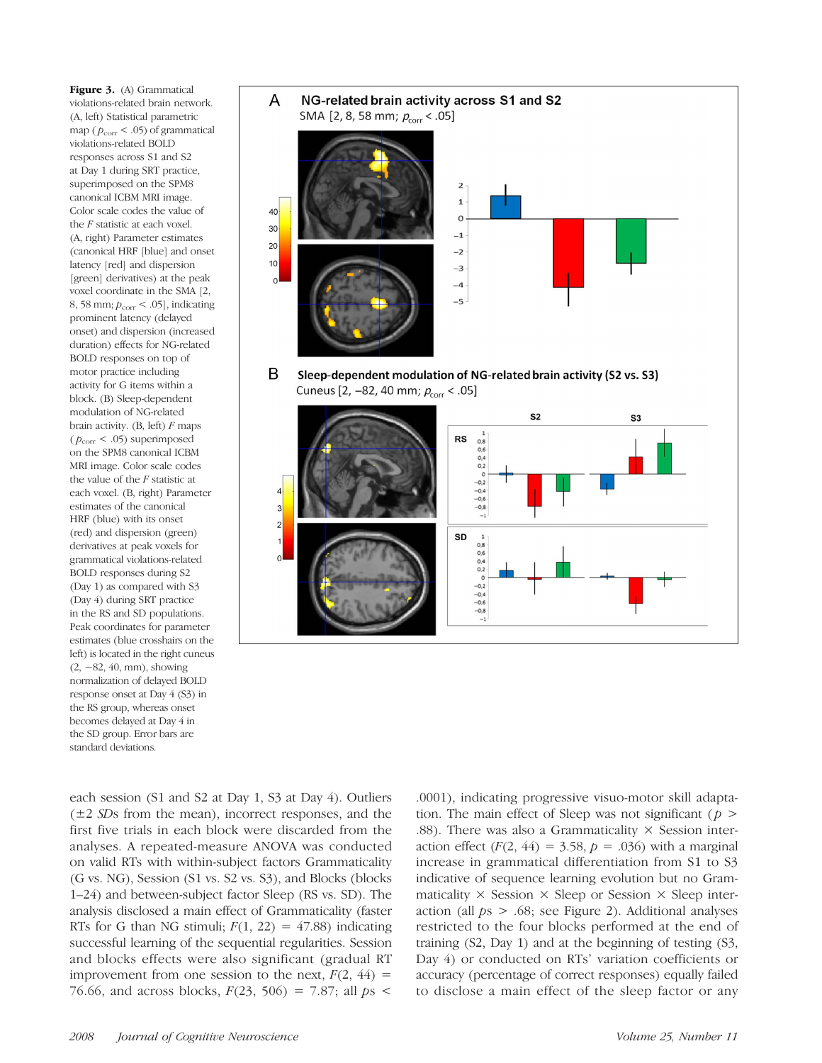Figure 3. (A) Grammatical violations-related brain network. (A, left) Statistical parametric map ( $p_{corr}$  < .05) of grammatical violations-related BOLD responses across S1 and S2 at Day 1 during SRT practice, superimposed on the SPM8 canonical ICBM MRI image. Color scale codes the value of the F statistic at each voxel. (A, right) Parameter estimates (canonical HRF [blue] and onset latency [red] and dispersion [green] derivatives) at the peak voxel coordinate in the SMA [2, 8, 58 mm;  $p_{corr}$  < .05], indicating prominent latency (delayed onset) and dispersion (increased duration) effects for NG-related BOLD responses on top of motor practice including activity for G items within a block. (B) Sleep-dependent modulation of NG-related brain activity.  $(B, \text{ left})$  F maps ( $p_{\text{corr}}$  < .05) superimposed on the SPM8 canonical ICBM MRI image. Color scale codes the value of the  $F$  statistic at each voxel. (B, right) Parameter estimates of the canonical HRF (blue) with its onset (red) and dispersion (green) derivatives at peak voxels for grammatical violations-related BOLD responses during S2 (Day 1) as compared with S3 (Day 4) during SRT practice in the RS and SD populations. Peak coordinates for parameter estimates (blue crosshairs on the left) is located in the right cuneus (2, −82, 40, mm), showing normalization of delayed BOLD response onset at Day 4 (S3) in the RS group, whereas onset becomes delayed at Day 4 in the SD group. Error bars are standard deviations.



each session (S1 and S2 at Day 1, S3 at Day 4). Outliers  $(\pm 2 \text{ SDs from the mean})$ , incorrect responses, and the first five trials in each block were discarded from the analyses. A repeated-measure ANOVA was conducted on valid RTs with within-subject factors Grammaticality (G vs. NG), Session (S1 vs. S2 vs. S3), and Blocks (blocks 1–24) and between-subject factor Sleep (RS vs. SD). The analysis disclosed a main effect of Grammaticality (faster RTs for G than NG stimuli;  $F(1, 22) = 47.88$ ) indicating successful learning of the sequential regularities. Session and blocks effects were also significant (gradual RT improvement from one session to the next,  $F(2, 44) =$ 76.66, and across blocks,  $F(23, 506) = 7.87$ ; all  $ps <$ 

.0001), indicating progressive visuo-motor skill adaptation. The main effect of Sleep was not significant ( $p >$ .88). There was also a Grammaticality  $\times$  Session interaction effect  $(F(2, 44) = 3.58, p = .036)$  with a marginal increase in grammatical differentiation from S1 to S3 indicative of sequence learning evolution but no Grammaticality  $\times$  Session  $\times$  Sleep or Session  $\times$  Sleep interaction (all  $ps > .68$ ; see Figure 2). Additional analyses restricted to the four blocks performed at the end of training (S2, Day 1) and at the beginning of testing (S3, Day 4) or conducted on RTs' variation coefficients or accuracy (percentage of correct responses) equally failed to disclose a main effect of the sleep factor or any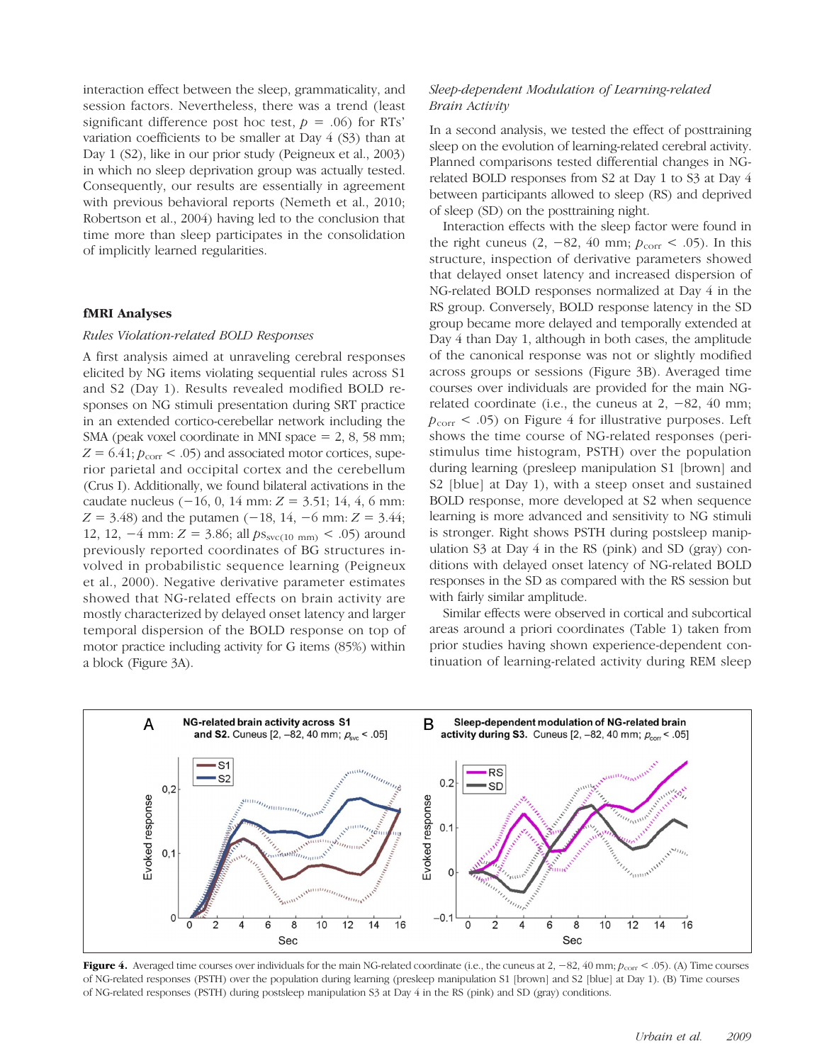interaction effect between the sleep, grammaticality, and session factors. Nevertheless, there was a trend (least significant difference post hoc test,  $p = .06$ ) for RTs' variation coefficients to be smaller at Day 4 (S3) than at Day 1 (S2), like in our prior study (Peigneux et al., 2003) in which no sleep deprivation group was actually tested. Consequently, our results are essentially in agreement with previous behavioral reports (Nemeth et al., 2010; Robertson et al., 2004) having led to the conclusion that time more than sleep participates in the consolidation of implicitly learned regularities.

#### fMRI Analyses

#### Rules Violation-related BOLD Responses

A first analysis aimed at unraveling cerebral responses elicited by NG items violating sequential rules across S1 and S2 (Day 1). Results revealed modified BOLD responses on NG stimuli presentation during SRT practice in an extended cortico-cerebellar network including the SMA (peak voxel coordinate in MNI space = 2, 8, 58 mm;  $Z = 6.41; p_{\text{corr}} < .05$  and associated motor cortices, superior parietal and occipital cortex and the cerebellum (Crus I). Additionally, we found bilateral activations in the caudate nucleus  $(-16, 0, 14$  mm:  $Z = 3.51$ ; 14, 4, 6 mm:  $Z = 3.48$ ) and the putamen (−18, 14, −6 mm:  $Z = 3.44$ ; 12, 12,  $-4$  mm:  $Z = 3.86$ ; all  $ps_{\text{svc(10 mm)}} < .05$ ) around previously reported coordinates of BG structures involved in probabilistic sequence learning (Peigneux et al., 2000). Negative derivative parameter estimates showed that NG-related effects on brain activity are mostly characterized by delayed onset latency and larger temporal dispersion of the BOLD response on top of motor practice including activity for G items (85%) within a block (Figure 3A).

# Sleep-dependent Modulation of Learning-related Brain Activity

In a second analysis, we tested the effect of posttraining sleep on the evolution of learning-related cerebral activity. Planned comparisons tested differential changes in NGrelated BOLD responses from S2 at Day 1 to S3 at Day 4 between participants allowed to sleep (RS) and deprived of sleep (SD) on the posttraining night.

Interaction effects with the sleep factor were found in the right cuneus  $(2, -82, 40 \text{ mm}; p_{corr} < .05)$ . In this structure, inspection of derivative parameters showed that delayed onset latency and increased dispersion of NG-related BOLD responses normalized at Day 4 in the RS group. Conversely, BOLD response latency in the SD group became more delayed and temporally extended at Day 4 than Day 1, although in both cases, the amplitude of the canonical response was not or slightly modified across groups or sessions (Figure 3B). Averaged time courses over individuals are provided for the main NGrelated coordinate (i.e., the cuneus at  $2, -82, 40$  mm;  $p_{\text{corr}}$  < .05) on Figure 4 for illustrative purposes. Left shows the time course of NG-related responses (peristimulus time histogram, PSTH) over the population during learning (presleep manipulation S1 [brown] and S2 [blue] at Day 1), with a steep onset and sustained BOLD response, more developed at S2 when sequence learning is more advanced and sensitivity to NG stimuli is stronger. Right shows PSTH during postsleep manipulation S3 at Day 4 in the RS (pink) and SD (gray) conditions with delayed onset latency of NG-related BOLD responses in the SD as compared with the RS session but with fairly similar amplitude.

Similar effects were observed in cortical and subcortical areas around a priori coordinates (Table 1) taken from prior studies having shown experience-dependent continuation of learning-related activity during REM sleep



Figure 4. Averaged time courses over individuals for the main NG-related coordinate (i.e., the cuneus at 2,  $-82$ , 40 mm;  $p_{\text{corr}}$  < .05). (A) Time courses of NG-related responses (PSTH) over the population during learning (presleep manipulation S1 [brown] and S2 [blue] at Day 1). (B) Time courses of NG-related responses (PSTH) during postsleep manipulation S3 at Day 4 in the RS (pink) and SD (gray) conditions.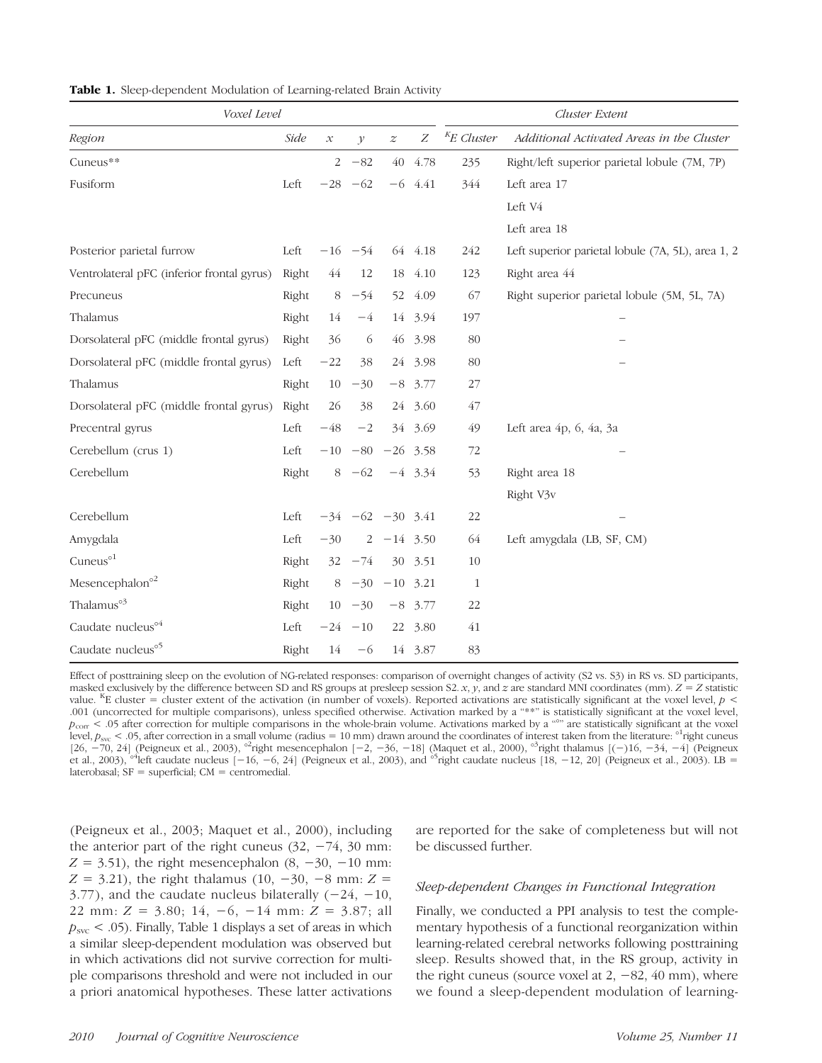| Voxel Level                                |       |                     |                        |                  |           | Cluster Extent |                                                   |
|--------------------------------------------|-------|---------------------|------------------------|------------------|-----------|----------------|---------------------------------------------------|
| Region                                     | Side  | $\mathcal{X}% _{0}$ | $\mathcal{Y}$          | $\boldsymbol{z}$ | Ζ         | $K$ E Cluster  | Additional Activated Areas in the Cluster         |
| Cuneus**                                   |       | $\overline{2}$      | $-82$                  |                  | 40 4.78   | 235            | Right/left superior parietal lobule (7M, 7P)      |
| Fusiform                                   | Left  |                     | $-28 -62$              |                  | $-6$ 4.41 | 344            | Left area 17                                      |
|                                            |       |                     |                        |                  |           |                | Left V4                                           |
|                                            |       |                     |                        |                  |           |                | Left area 18                                      |
| Posterior parietal furrow                  | Left  |                     | $-16$ $-54$            |                  | 64 4.18   | 242            | Left superior parietal lobule (7A, 5L), area 1, 2 |
| Ventrolateral pFC (inferior frontal gyrus) | Right | 44                  | 12                     |                  | 18 4.10   | 123            | Right area 44                                     |
| Precuneus                                  | Right | 8                   | $-54$                  | 52               | 4.09      | 67             | Right superior parietal lobule (5M, 5L, 7A)       |
| Thalamus                                   | Right | 14                  | $-4$                   |                  | 14 3.94   | 197            |                                                   |
| Dorsolateral pFC (middle frontal gyrus)    | Right | 36                  | 6                      | 46               | 3.98      | 80             |                                                   |
| Dorsolateral pFC (middle frontal gyrus)    | Left  | $-22$               | 38                     |                  | 24 3.98   | 80             |                                                   |
| Thalamus                                   | Right |                     | $10 - 30$              |                  | $-8$ 3.77 | 27             |                                                   |
| Dorsolateral pFC (middle frontal gyrus)    | Right | 26                  | 38                     |                  | 24 3.60   | 47             |                                                   |
| Precentral gyrus                           | Left  | $-48$               | $-2$                   |                  | 34 3.69   | 49             | Left area $4p$ , 6, $4a$ , $3a$                   |
| Cerebellum (crus 1)                        | Left  |                     | $-10$ $-80$ $-26$ 3.58 |                  |           | 72             |                                                   |
| Cerebellum                                 | Right |                     | $8 -62 -4 3.34$        |                  |           | 53             | Right area 18                                     |
|                                            |       |                     |                        |                  |           |                | Right V3v                                         |
| Cerebellum                                 | Left  |                     | $-34$ $-62$ $-30$ 3.41 |                  |           | 22             |                                                   |
| Amygdala                                   | Left  | $-30$               |                        | $2 -14$ 3.50     |           | 64             | Left amygdala (LB, SF, CM)                        |
| Cuneus <sup>o1</sup>                       | Right |                     | $32 - 74$              |                  | 30 3.51   | 10             |                                                   |
| Mesencephalon <sup>o2</sup>                | Right |                     | $8 -30 -10$ 3.21       |                  |           | $\mathbf{1}$   |                                                   |
| Thalamus <sup>°3</sup>                     | Right |                     | $10 - 30$              |                  | $-8$ 3.77 | 22             |                                                   |
| Caudate nucleus <sup>o4</sup>              | Left  |                     | $-24 - 10$             |                  | 22 3.80   | 41             |                                                   |
| Caudate nucleus <sup>o5</sup>              | Right | 14                  | $-6$                   |                  | 14 3.87   | 83             |                                                   |

Table 1. Sleep-dependent Modulation of Learning-related Brain Activity

Effect of posttraining sleep on the evolution of NG-related responses: comparison of overnight changes of activity (S2 vs. S3) in RS vs. SD participants, masked exclusively by the difference between SD and RS groups at presleep session S2.  $x$ ,  $y$ , and  $z$  are standard MNI coordinates (mm).  $Z = Z$  statistic value. <sup>K</sup>E cluster = cluster extent of the activation (in number of voxels). Reported activations are statistically significant at the voxel level,  $p <$ .001 (uncorrected for multiple comparisons), unless specified otherwise. Activation marked by a "\*\*" is statistically significant at the voxel level,  $p_{\text{corr}}$  < .05 after correction for multiple comparisons in the whole-brain volume. Activations marked by a "°" are statistically significant at the voxel level,  $p_{\text{svc}}$  < .05, after correction in a small volume (radius = 10 mm) drawn around the coordinates of interest taken from the literature: <sup>o1</sup> right cuneus [26, −70, 24] (Peigneux et al., 2003), <sup>o2</sup>right mesencephalon [-2, -36, -18] (Maquet et al., 2000), <sup>o3</sup>right thalamus [(-)16, -34, -4] (Peigneux et al., 2003), <sup>24</sup>left caudate nucleus [−16, −6, 24] (Peigneux et al., 2003), and <sup>55</sup>right caudate nucleus [18, −12, 20] (Peigneux et al., 2003). LB = laterobasal;  $SF = superficial$ ;  $CM = centromedial$ .

(Peigneux et al., 2003; Maquet et al., 2000), including the anterior part of the right cuneus  $(32, -74, 30 \text{ mm})$ :  $Z = 3.51$ ), the right mesencephalon (8, -30, -10 mm:  $Z = 3.21$ ), the right thalamus (10, -30, -8 mm:  $Z =$ 3.77), and the caudate nucleus bilaterally  $(-24, -10,$ 22 mm:  $Z = 3.80$ ; 14, -6, -14 mm:  $Z = 3.87$ ; all  $p<sub>src</sub> < .05$ . Finally, Table 1 displays a set of areas in which a similar sleep-dependent modulation was observed but in which activations did not survive correction for multiple comparisons threshold and were not included in our a priori anatomical hypotheses. These latter activations are reported for the sake of completeness but will not be discussed further.

#### Sleep-dependent Changes in Functional Integration

Finally, we conducted a PPI analysis to test the complementary hypothesis of a functional reorganization within learning-related cerebral networks following posttraining sleep. Results showed that, in the RS group, activity in the right cuneus (source voxel at  $2, -82, 40$  mm), where we found a sleep-dependent modulation of learning-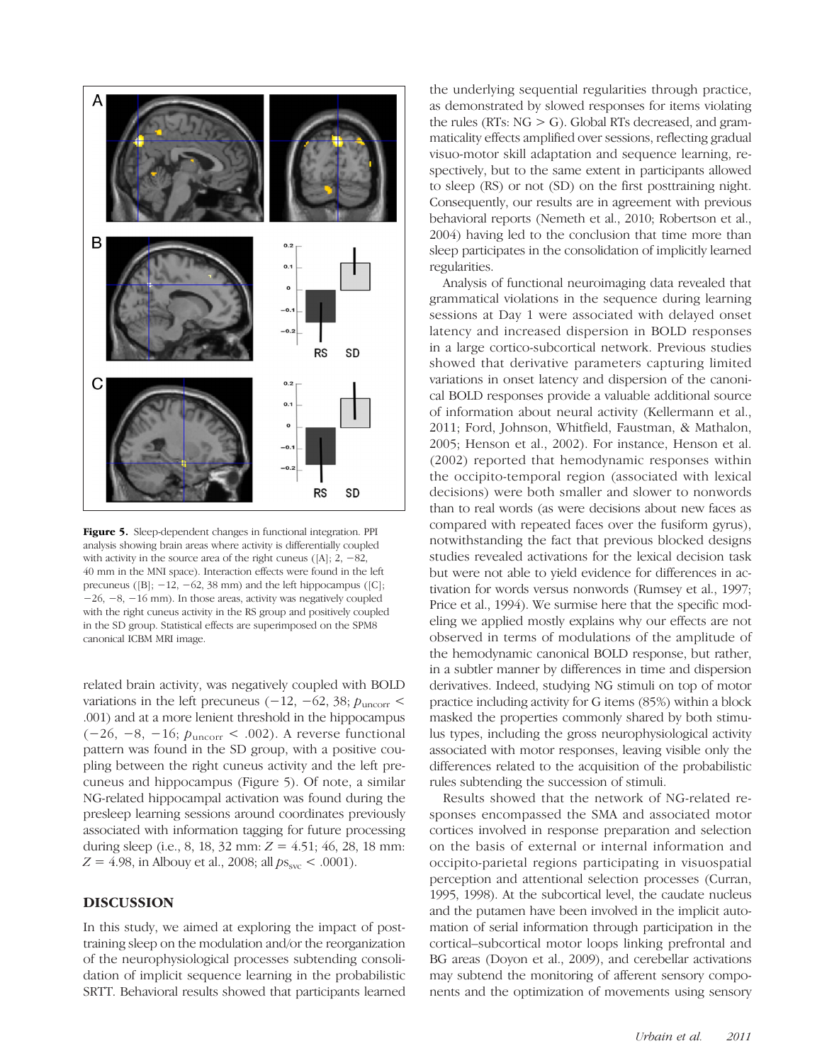

Figure 5. Sleep-dependent changes in functional integration. PPI analysis showing brain areas where activity is differentially coupled with activity in the source area of the right cuneus ( $[A]$ ; 2,  $-82$ , 40 mm in the MNI space). Interaction effects were found in the left precuneus ( $[B]$ ;  $-12$ ,  $-62$ , 38 mm) and the left hippocampus ( $[C]$ ; −26, −8, −16 mm). In those areas, activity was negatively coupled with the right cuneus activity in the RS group and positively coupled in the SD group. Statistical effects are superimposed on the SPM8 canonical ICBM MRI image.

related brain activity, was negatively coupled with BOLD variations in the left precuneus ( $-12$ ,  $-62$ , 38;  $p_{\text{uncorr}}$  < .001) and at a more lenient threshold in the hippocampus (−26, −8, −16; puncorr < .002). A reverse functional pattern was found in the SD group, with a positive coupling between the right cuneus activity and the left precuneus and hippocampus (Figure 5). Of note, a similar NG-related hippocampal activation was found during the presleep learning sessions around coordinates previously associated with information tagging for future processing during sleep (i.e., 8, 18, 32 mm:  $Z = 4.51$ ; 46, 28, 18 mm:  $Z = 4.98$ , in Albouy et al., 2008; all  $ps_{\rm src} < .0001$ ).

## DISCUSSION

In this study, we aimed at exploring the impact of posttraining sleep on the modulation and/or the reorganization of the neurophysiological processes subtending consolidation of implicit sequence learning in the probabilistic SRTT. Behavioral results showed that participants learned

the underlying sequential regularities through practice, as demonstrated by slowed responses for items violating the rules (RTs:  $NG > G$ ). Global RTs decreased, and grammaticality effects amplified over sessions, reflecting gradual visuo-motor skill adaptation and sequence learning, respectively, but to the same extent in participants allowed to sleep (RS) or not (SD) on the first posttraining night. Consequently, our results are in agreement with previous behavioral reports (Nemeth et al., 2010; Robertson et al., 2004) having led to the conclusion that time more than sleep participates in the consolidation of implicitly learned regularities.

Analysis of functional neuroimaging data revealed that grammatical violations in the sequence during learning sessions at Day 1 were associated with delayed onset latency and increased dispersion in BOLD responses in a large cortico-subcortical network. Previous studies showed that derivative parameters capturing limited variations in onset latency and dispersion of the canonical BOLD responses provide a valuable additional source of information about neural activity (Kellermann et al., 2011; Ford, Johnson, Whitfield, Faustman, & Mathalon, 2005; Henson et al., 2002). For instance, Henson et al. (2002) reported that hemodynamic responses within the occipito-temporal region (associated with lexical decisions) were both smaller and slower to nonwords than to real words (as were decisions about new faces as compared with repeated faces over the fusiform gyrus), notwithstanding the fact that previous blocked designs studies revealed activations for the lexical decision task but were not able to yield evidence for differences in activation for words versus nonwords (Rumsey et al., 1997; Price et al., 1994). We surmise here that the specific modeling we applied mostly explains why our effects are not observed in terms of modulations of the amplitude of the hemodynamic canonical BOLD response, but rather, in a subtler manner by differences in time and dispersion derivatives. Indeed, studying NG stimuli on top of motor practice including activity for G items (85%) within a block masked the properties commonly shared by both stimulus types, including the gross neurophysiological activity associated with motor responses, leaving visible only the differences related to the acquisition of the probabilistic rules subtending the succession of stimuli.

Results showed that the network of NG-related responses encompassed the SMA and associated motor cortices involved in response preparation and selection on the basis of external or internal information and occipito-parietal regions participating in visuospatial perception and attentional selection processes (Curran, 1995, 1998). At the subcortical level, the caudate nucleus and the putamen have been involved in the implicit automation of serial information through participation in the cortical–subcortical motor loops linking prefrontal and BG areas (Doyon et al., 2009), and cerebellar activations may subtend the monitoring of afferent sensory components and the optimization of movements using sensory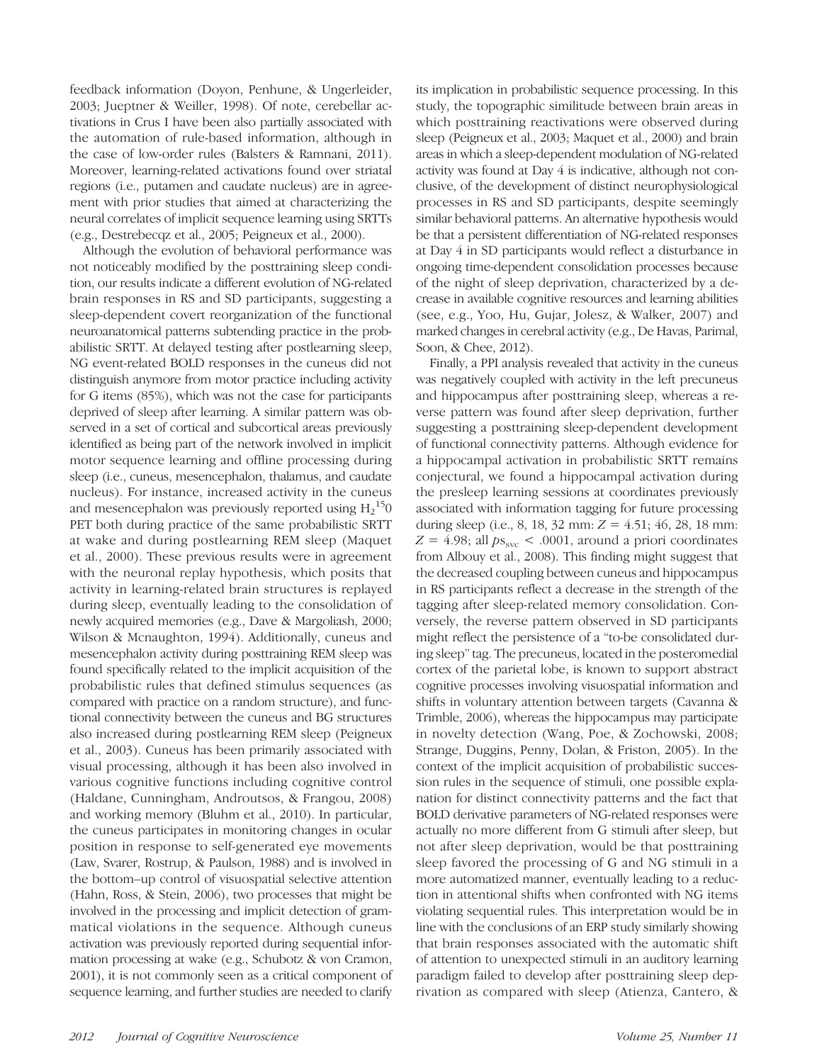feedback information (Doyon, Penhune, & Ungerleider, 2003; Jueptner & Weiller, 1998). Of note, cerebellar activations in Crus I have been also partially associated with the automation of rule-based information, although in the case of low-order rules (Balsters & Ramnani, 2011). Moreover, learning-related activations found over striatal regions (i.e., putamen and caudate nucleus) are in agreement with prior studies that aimed at characterizing the neural correlates of implicit sequence learning using SRTTs (e.g., Destrebecqz et al., 2005; Peigneux et al., 2000).

Although the evolution of behavioral performance was not noticeably modified by the posttraining sleep condition, our results indicate a different evolution of NG-related brain responses in RS and SD participants, suggesting a sleep-dependent covert reorganization of the functional neuroanatomical patterns subtending practice in the probabilistic SRTT. At delayed testing after postlearning sleep, NG event-related BOLD responses in the cuneus did not distinguish anymore from motor practice including activity for G items (85%), which was not the case for participants deprived of sleep after learning. A similar pattern was observed in a set of cortical and subcortical areas previously identified as being part of the network involved in implicit motor sequence learning and offline processing during sleep (i.e., cuneus, mesencephalon, thalamus, and caudate nucleus). For instance, increased activity in the cuneus and mesencephalon was previously reported using  $\text{H}_{2}^{\text{15}}$ 0 PET both during practice of the same probabilistic SRTT at wake and during postlearning REM sleep (Maquet et al., 2000). These previous results were in agreement with the neuronal replay hypothesis, which posits that activity in learning-related brain structures is replayed during sleep, eventually leading to the consolidation of newly acquired memories (e.g., Dave & Margoliash, 2000; Wilson & Mcnaughton, 1994). Additionally, cuneus and mesencephalon activity during posttraining REM sleep was found specifically related to the implicit acquisition of the probabilistic rules that defined stimulus sequences (as compared with practice on a random structure), and functional connectivity between the cuneus and BG structures also increased during postlearning REM sleep (Peigneux et al., 2003). Cuneus has been primarily associated with visual processing, although it has been also involved in various cognitive functions including cognitive control (Haldane, Cunningham, Androutsos, & Frangou, 2008) and working memory (Bluhm et al., 2010). In particular, the cuneus participates in monitoring changes in ocular position in response to self-generated eye movements (Law, Svarer, Rostrup, & Paulson, 1988) and is involved in the bottom–up control of visuospatial selective attention (Hahn, Ross, & Stein, 2006), two processes that might be involved in the processing and implicit detection of grammatical violations in the sequence. Although cuneus activation was previously reported during sequential information processing at wake (e.g., Schubotz & von Cramon, 2001), it is not commonly seen as a critical component of sequence learning, and further studies are needed to clarify

its implication in probabilistic sequence processing. In this study, the topographic similitude between brain areas in which posttraining reactivations were observed during sleep (Peigneux et al., 2003; Maquet et al., 2000) and brain areas in which a sleep-dependent modulation of NG-related activity was found at Day 4 is indicative, although not conclusive, of the development of distinct neurophysiological processes in RS and SD participants, despite seemingly similar behavioral patterns. An alternative hypothesis would be that a persistent differentiation of NG-related responses at Day 4 in SD participants would reflect a disturbance in ongoing time-dependent consolidation processes because of the night of sleep deprivation, characterized by a decrease in available cognitive resources and learning abilities (see, e.g., Yoo, Hu, Gujar, Jolesz, & Walker, 2007) and marked changes in cerebral activity (e.g., De Havas, Parimal, Soon, & Chee, 2012).

Finally, a PPI analysis revealed that activity in the cuneus was negatively coupled with activity in the left precuneus and hippocampus after posttraining sleep, whereas a reverse pattern was found after sleep deprivation, further suggesting a posttraining sleep-dependent development of functional connectivity patterns. Although evidence for a hippocampal activation in probabilistic SRTT remains conjectural, we found a hippocampal activation during the presleep learning sessions at coordinates previously associated with information tagging for future processing during sleep (i.e., 8, 18, 32 mm:  $Z = 4.51$ ; 46, 28, 18 mm:  $Z = 4.98$ ; all  $ps_{\rm src}$  < .0001, around a priori coordinates from Albouy et al., 2008). This finding might suggest that the decreased coupling between cuneus and hippocampus in RS participants reflect a decrease in the strength of the tagging after sleep-related memory consolidation. Conversely, the reverse pattern observed in SD participants might reflect the persistence of a "to-be consolidated during sleep" tag. The precuneus, located in the posteromedial cortex of the parietal lobe, is known to support abstract cognitive processes involving visuospatial information and shifts in voluntary attention between targets (Cavanna & Trimble, 2006), whereas the hippocampus may participate in novelty detection (Wang, Poe, & Zochowski, 2008; Strange, Duggins, Penny, Dolan, & Friston, 2005). In the context of the implicit acquisition of probabilistic succession rules in the sequence of stimuli, one possible explanation for distinct connectivity patterns and the fact that BOLD derivative parameters of NG-related responses were actually no more different from G stimuli after sleep, but not after sleep deprivation, would be that posttraining sleep favored the processing of G and NG stimuli in a more automatized manner, eventually leading to a reduction in attentional shifts when confronted with NG items violating sequential rules. This interpretation would be in line with the conclusions of an ERP study similarly showing that brain responses associated with the automatic shift of attention to unexpected stimuli in an auditory learning paradigm failed to develop after posttraining sleep deprivation as compared with sleep (Atienza, Cantero, &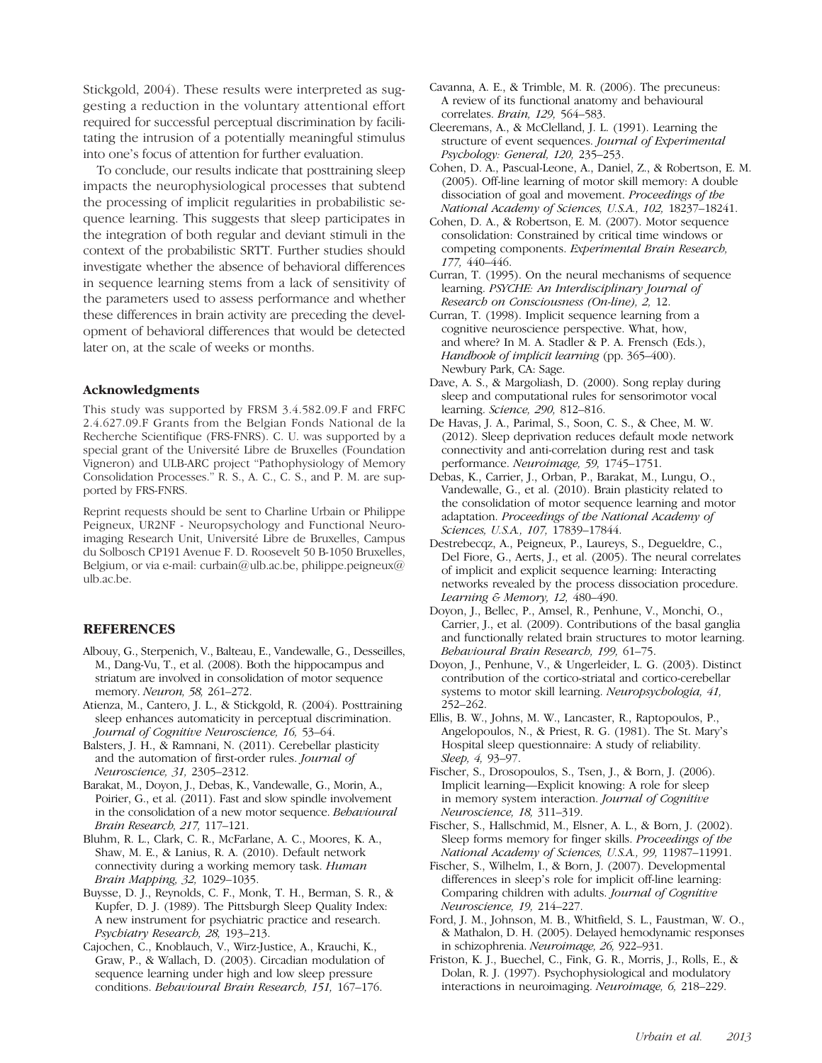Stickgold, 2004). These results were interpreted as suggesting a reduction in the voluntary attentional effort required for successful perceptual discrimination by facilitating the intrusion of a potentially meaningful stimulus into one's focus of attention for further evaluation.

To conclude, our results indicate that posttraining sleep impacts the neurophysiological processes that subtend the processing of implicit regularities in probabilistic sequence learning. This suggests that sleep participates in the integration of both regular and deviant stimuli in the context of the probabilistic SRTT. Further studies should investigate whether the absence of behavioral differences in sequence learning stems from a lack of sensitivity of the parameters used to assess performance and whether these differences in brain activity are preceding the development of behavioral differences that would be detected later on, at the scale of weeks or months.

#### Acknowledgments

This study was supported by FRSM 3.4.582.09.F and FRFC 2.4.627.09.F Grants from the Belgian Fonds National de la Recherche Scientifique (FRS-FNRS). C. U. was supported by a special grant of the Université Libre de Bruxelles (Foundation Vigneron) and ULB-ARC project "Pathophysiology of Memory Consolidation Processes." R. S., A. C., C. S., and P. M. are supported by FRS-FNRS.

Reprint requests should be sent to Charline Urbain or Philippe Peigneux, UR2NF - Neuropsychology and Functional Neuroimaging Research Unit, Université Libre de Bruxelles, Campus du Solbosch CP191 Avenue F. D. Roosevelt 50 B-1050 Bruxelles, Belgium, or via e-mail: curbain@ulb.ac.be, philippe.peigneux@ ulb.ac.be.

## REFERENCES

- Albouy, G., Sterpenich, V., Balteau, E., Vandewalle, G., Desseilles, M., Dang-Vu, T., et al. (2008). Both the hippocampus and striatum are involved in consolidation of motor sequence memory. Neuron, 58, 261–272.
- Atienza, M., Cantero, J. L., & Stickgold, R. (2004). Posttraining sleep enhances automaticity in perceptual discrimination. Journal of Cognitive Neuroscience, 16, 53–64.
- Balsters, J. H., & Ramnani, N. (2011). Cerebellar plasticity and the automation of first-order rules. Journal of Neuroscience, 31, 2305–2312.
- Barakat, M., Doyon, J., Debas, K., Vandewalle, G., Morin, A., Poirier, G., et al. (2011). Fast and slow spindle involvement in the consolidation of a new motor sequence. Behavioural Brain Research, 217, 117–121.
- Bluhm, R. L., Clark, C. R., McFarlane, A. C., Moores, K. A., Shaw, M. E., & Lanius, R. A. (2010). Default network connectivity during a working memory task. Human Brain Mapping, 32, 1029–1035.
- Buysse, D. J., Reynolds, C. F., Monk, T. H., Berman, S. R., & Kupfer, D. J. (1989). The Pittsburgh Sleep Quality Index: A new instrument for psychiatric practice and research. Psychiatry Research, 28, 193–213.
- Cajochen, C., Knoblauch, V., Wirz-Justice, A., Krauchi, K., Graw, P., & Wallach, D. (2003). Circadian modulation of sequence learning under high and low sleep pressure conditions. Behavioural Brain Research, 151, 167–176.
- Cavanna, A. E., & Trimble, M. R. (2006). The precuneus: A review of its functional anatomy and behavioural correlates. Brain, 129, 564–583.
- Cleeremans, A., & McClelland, J. L. (1991). Learning the structure of event sequences. Journal of Experimental Psychology: General, 120, 235–253.
- Cohen, D. A., Pascual-Leone, A., Daniel, Z., & Robertson, E. M. (2005). Off-line learning of motor skill memory: A double dissociation of goal and movement. Proceedings of the National Academy of Sciences, U.S.A., 102, 18237–18241.
- Cohen, D. A., & Robertson, E. M. (2007). Motor sequence consolidation: Constrained by critical time windows or competing components. Experimental Brain Research, 177, 440–446.
- Curran, T. (1995). On the neural mechanisms of sequence learning. PSYCHE: An Interdisciplinary Journal of Research on Consciousness (On-line), 2, 12.
- Curran, T. (1998). Implicit sequence learning from a cognitive neuroscience perspective. What, how, and where? In M. A. Stadler & P. A. Frensch (Eds.), Handbook of implicit learning (pp. 365–400). Newbury Park, CA: Sage.
- Dave, A. S., & Margoliash, D. (2000). Song replay during sleep and computational rules for sensorimotor vocal learning. Science, 290, 812–816.
- De Havas, J. A., Parimal, S., Soon, C. S., & Chee, M. W. (2012). Sleep deprivation reduces default mode network connectivity and anti-correlation during rest and task performance. Neuroimage, 59, 1745–1751.
- Debas, K., Carrier, J., Orban, P., Barakat, M., Lungu, O., Vandewalle, G., et al. (2010). Brain plasticity related to the consolidation of motor sequence learning and motor adaptation. Proceedings of the National Academy of Sciences, U.S.A., 107, 17839–17844.
- Destrebecqz, A., Peigneux, P., Laureys, S., Degueldre, C., Del Fiore, G., Aerts, J., et al. (2005). The neural correlates of implicit and explicit sequence learning: Interacting networks revealed by the process dissociation procedure. Learning & Memory, 12, 480–490.
- Doyon, J., Bellec, P., Amsel, R., Penhune, V., Monchi, O., Carrier, J., et al. (2009). Contributions of the basal ganglia and functionally related brain structures to motor learning. Behavioural Brain Research, 199, 61–75.
- Doyon, J., Penhune, V., & Ungerleider, L. G. (2003). Distinct contribution of the cortico-striatal and cortico-cerebellar systems to motor skill learning. Neuropsychologia, 41, 252–262.
- Ellis, B. W., Johns, M. W., Lancaster, R., Raptopoulos, P., Angelopoulos, N., & Priest, R. G. (1981). The St. Mary's Hospital sleep questionnaire: A study of reliability. Sleep, 4, 93-97.
- Fischer, S., Drosopoulos, S., Tsen, J., & Born, J. (2006). Implicit learning—Explicit knowing: A role for sleep in memory system interaction. Journal of Cognitive Neuroscience, 18, 311–319.
- Fischer, S., Hallschmid, M., Elsner, A. L., & Born, J. (2002). Sleep forms memory for finger skills. Proceedings of the National Academy of Sciences, U.S.A., 99, 11987–11991.
- Fischer, S., Wilhelm, I., & Born, J. (2007). Developmental differences in sleep's role for implicit off-line learning: Comparing children with adults. Journal of Cognitive Neuroscience, 19, 214–227.
- Ford, J. M., Johnson, M. B., Whitfield, S. L., Faustman, W. O., & Mathalon, D. H. (2005). Delayed hemodynamic responses in schizophrenia. Neuroimage, 26, 922–931.
- Friston, K. J., Buechel, C., Fink, G. R., Morris, J., Rolls, E., & Dolan, R. J. (1997). Psychophysiological and modulatory interactions in neuroimaging. Neuroimage, 6, 218–229.